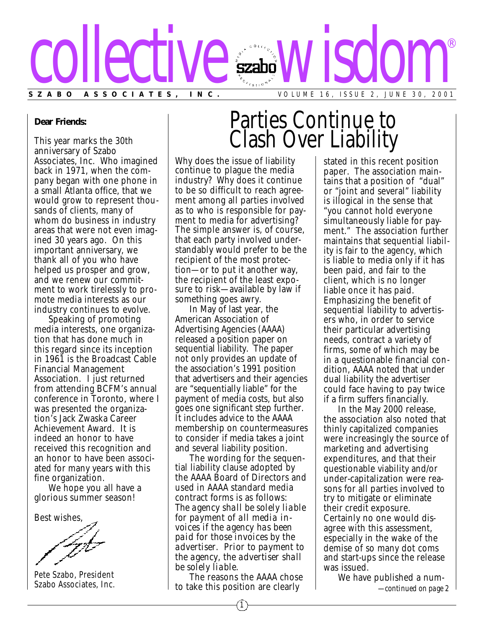

## **Dear Friends:**

This year marks the 30th anniversary of Szabo Associates, Inc. Who imagined back in 1971, when the company began with one phone in a small Atlanta office, that we would grow to represent thousands of clients, many of whom do business in industry areas that were not even imagined 30 years ago. On this important anniversary, we thank all of you who have helped us prosper and grow, and we renew our commitment to work tirelessly to promote media interests as our industry continues to evolve.

Speaking of promoting media interests, one organization that has done much in this regard since its inception in 1961 is the Broadcast Cable Financial Management Association. I just returned from attending BCFM's annual conference in Toronto, where I was presented the organization's Jack Zwaska Career Achievement Award. It is indeed an honor to have received this recognition and an honor to have been associated for many years with this fine organization.

We hope you all have a glorious summer season!

Best wishes,

Pete Szabo, President Szabo Associates, Inc.

## Parties Continue to Clash Over Liability

Why does the issue of liability continue to plague the media industry? Why does it continue to be so difficult to reach agreement among all parties involved as to who is responsible for payment to media for advertising? The simple answer is, of course, that each party involved understandably would prefer to be the recipient of the most protection—or to put it another way, the recipient of the least exposure to risk—available by law if something goes awry.

In May of last year, the American Association of Advertising Agencies (AAAA) released a position paper on sequential liability. The paper not only provides an update of the association's 1991 position that advertisers and their agencies are "sequentially liable" for the payment of media costs, but also goes one significant step further. It includes advice to the AAAA membership on countermeasures to consider if media takes a joint and several liability position.

The wording for the sequential liability clause adopted by the AAAA Board of Directors and used in AAAA standard media contract forms is as follows: *The agency shall be solely liable for payment of all media invoices if the agency has been paid for those invoices by the advertiser. Prior to payment to the agency, the advertiser shall be solely liable.*

The reasons the AAAA chose to take this position are clearly

stated in this recent position paper. The association maintains that a position of "dual" or "joint and several" liability is illogical in the sense that "you cannot hold everyone simultaneously liable for payment." The association further maintains that sequential liability is fair to the agency, which is liable to media only if it has been paid, and fair to the client, which is no longer liable once it has paid. Emphasizing the benefit of sequential liability to advertisers who, in order to service their particular advertising needs, contract a variety of firms, some of which may be in a questionable financial condition, AAAA noted that under dual liability the advertiser could face having to pay twice if a firm suffers financially.

In the May 2000 release, the association also noted that thinly capitalized companies were increasingly the source of marketing and advertising expenditures, and that their questionable viability and/or under-capitalization were reasons for all parties involved to try to mitigate or eliminate their credit exposure. Certainly no one would disagree with this assessment, especially in the wake of the demise of so many dot coms and start-ups since the release was issued.

> We have published a num- *—continued on page 2*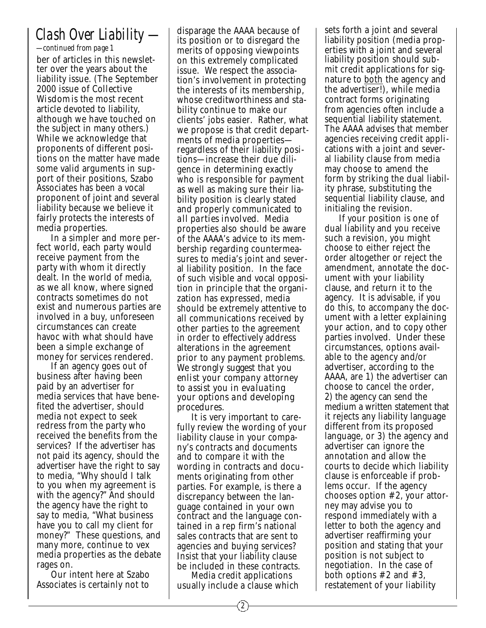## *Clash Over Liability —*

ber of articles in this newsletter over the years about the liability issue. (The September 2000 issue of *Collective Wisdom* is the most recent article devoted to liability, although we have touched on the subject in many others.) While we acknowledge that proponents of different positions on the matter have made some valid arguments in support of their positions, Szabo Associates has been a vocal proponent of joint and several liability because we believe it fairly protects the interests of media properties. *—continued from page 1*

In a simpler and more perfect world, each party would receive payment from the party with whom it directly dealt. In the world of media, as we all know, where signed contracts sometimes do not exist and numerous parties are involved in a buy, unforeseen circumstances can create havoc with what should have been a simple exchange of money for services rendered.

If an agency goes out of business after having been paid by an advertiser for media services that have benefited the advertiser, should media not expect to seek redress from the party who received the benefits from the services? If the advertiser has not paid its agency, should the advertiser have the right to say to media, "Why should I talk to you when my agreement is with the agency?" And should the agency have the right to say to media, "What business have you to call my client for money?" These questions, and many more, continue to vex media properties as the debate rages on.

Our intent here at Szabo Associates is certainly not to

disparage the AAAA because of its position or to disregard the merits of opposing viewpoints on this extremely complicated issue. We respect the association's involvement in protecting the interests of its membership, whose creditworthiness and stability continue to make our clients' jobs easier. Rather, what we propose is that credit departments of media properties regardless of their liability positions—increase their due diligence in determining exactly who is responsible for payment as well as making sure their liability position is clearly stated and properly communicated *to all parties involved*. Media properties also should be aware of the AAAA's advice to its membership regarding countermeasures to media's joint and several liability position. In the face of such visible and vocal opposition in principle that the organization has expressed, media should be extremely attentive to all communications received by other parties to the agreement in order to effectively address alterations in the agreement prior to any payment problems. *We strongly suggest that you enlist your company attorney to assist you in evaluating your options and developing procedures.*

It is very important to carefully review the wording of your liability clause in your company's contracts and documents and to compare it with the wording in contracts and documents originating from other parties. For example, is there a discrepancy between the language contained in your own contract and the language contained in a rep firm's national sales contracts that are sent to agencies and buying services? Insist that your liability clause be included in these contracts.

Media credit applications usually include a clause which sets forth a joint and several liability position (media properties with a joint and several liability position should submit credit applications for signature to both the agency and the advertiser!), while media contract forms originating from agencies often include a sequential liability statement. The AAAA advises that member agencies receiving credit applications with a joint and several liability clause from media may choose to amend the form by striking the dual liability phrase, substituting the sequential liability clause, and initialing the revision.

If your position is one of dual liability and you receive such a revision, you might choose to either reject the order altogether or reject the amendment, annotate the document with your liability clause, and return it to the agency. It is advisable, if you do this, to accompany the document with a letter explaining your action, and to copy other parties involved. Under these circumstances, options available to the agency and/or advertiser, according to the AAAA, are 1) the advertiser can choose to cancel the order, 2) the agency can send the medium a written statement that it rejects any liability language different from its proposed language, or 3) the agency and advertiser can ignore the annotation and allow the courts to decide which liability clause is enforceable if problems occur. If the agency chooses option #2, your attorney may advise you to respond immediately with a letter to both the agency and advertiser reaffirming your position and stating that your position is not subject to negotiation. In the case of both options  $#2$  and  $#3$ , restatement of your liability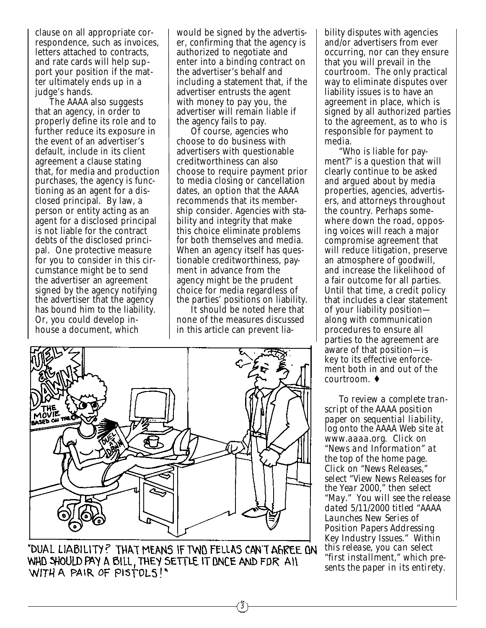clause on all appropriate correspondence, such as invoices, letters attached to contracts, and rate cards will help support your position if the matter ultimately ends up in a judge's hands.

The AAAA also suggests that an agency, in order to properly define its role and to further reduce its exposure in the event of an advertiser's default, include in its client agreement a clause stating that, for media and production purchases, the agency is functioning as an agent for a disclosed principal. By law, a person or entity acting as an agent for a disclosed principal is not liable for the contract debts of the disclosed principal. One protective measure for you to consider in this circumstance might be to send the advertiser an agreement signed by the agency notifying the advertiser that the agency has bound him to the liability. Or, you could develop inhouse a document, which

would be signed by the advertiser, confirming that the agency is authorized to negotiate and enter into a binding contract on the advertiser's behalf and including a statement that, if the advertiser entrusts the agent with money to pay you, the advertiser will remain liable if the agency fails to pay.

Of course, agencies who choose to do business with advertisers with questionable creditworthiness can also choose to require payment prior to media closing or cancellation dates, an option that the AAAA recommends that its membership consider. Agencies with stability and integrity that make this choice eliminate problems for both themselves and media. When an agency itself has questionable creditworthiness, payment in advance from the agency might be the prudent choice for media regardless of the parties' positions on liability.

It should be noted here that none of the measures discussed in this article can prevent lia-

3



"DUAL LIABILITY? THAT MEANS IF TWO FELLAS CAN'T AGREE ON WHO SHOULD PAY A BILL, THEY SETTLE IT DNCE AND FDR AIL WITH A PAIR OF PISTOLS!"

bility disputes with agencies and/or advertisers from ever occurring, nor can they ensure that you will prevail in the courtroom. The only practical way to eliminate disputes over liability issues is to have an agreement in place, which is signed by all authorized parties to the agreement, as to who is responsible for payment to media.

"Who is liable for payment?" is a question that will clearly continue to be asked and argued about by media properties, agencies, advertisers, and attorneys throughout the country. Perhaps somewhere down the road, opposing voices will reach a major compromise agreement that will reduce litigation, preserve an atmosphere of goodwill, and increase the likelihood of a fair outcome for all parties. Until that time, a credit policy that includes a clear statement of your liability position along with communication procedures to ensure all parties to the agreement are aware of that position—is key to its effective enforcement both in and out of the courtroom. ♦

*To review a complete transcript of the AAAA position paper on sequential liability, log onto the AAAA Web site at www.aaaa.org. Click on "News and Information" at the top of the home page. Click on "News Releases," select "View News Releases for the Year 2000," then select "May." You will see the release dated 5/11/2000 titled "AAAA Launches New Series of Position Papers Addressing Key Industry Issues." Within this release, you can select "first installment," which presents the paper in its entirety.*